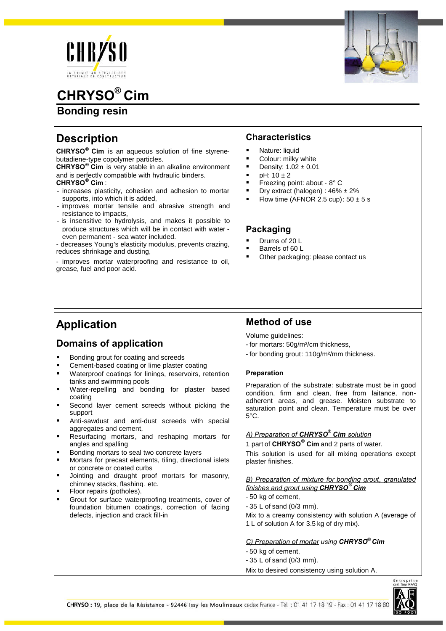

# **CHRYSO® Cim**

## **Bonding resin**

# **Description**

**CHRYSO® Cim** is an aqueous solution of fine styrenebutadiene-type copolymer particles.

**CHRYSO® Cim** is very stable in an alkaline environment and is perfectly compatible with hydraulic binders. **CHRYSO® Cim** :

- increases plasticity, cohesion and adhesion to mortar supports, into which it is added,
- improves mortar tensile and abrasive strength and resistance to impacts,
- is insensitive to hydrolysis, and makes it possible to produce structures which will be in contact with water even permanent - sea water included.

- decreases Young's elasticity modulus, prevents crazing, reduces shrinkage and dusting,

- improves mortar waterproofing and resistance to oil, grease, fuel and poor acid.

### **Characteristics**

- Nature: liquid
- Colour: milky white
- Density: 1.02 ± 0.01
- $pH: 10 \pm 2$
- Freezing point: about 8° C
- Dry extract (halogen) :  $46\% \pm 2\%$
- Flow time (AFNOR 2.5 cup):  $50 \pm 5$  s

### **Packaging**

- Drums of 20 L
- Barrels of 60 L
- Other packaging: please contact us

## **Application**

### **Domains of application**

- Bonding grout for coating and screeds
- **EXEC** Cement-based coating or lime plaster coating
- **Waterproof coatings for linings, reservoirs, retention** tanks and swimming pools
- Water-repelling and bonding for plaster based coating
- **Second layer cement screeds without picking the** support
- Anti-sawdust and anti-dust screeds with special aggregates and cement,
- Resurfacing mortars, and reshaping mortars for angles and spalling
- Bonding mortars to seal two concrete layers
- Mortars for precast elements, tiling, directional islets or concrete or coated curbs
- Jointing and draught proof mortars for masonry, chimney stacks, flashing, etc.
- **Floor repairs (potholes).**
- Grout for surface waterproofing treatments, cover of foundation bitumen coatings, correction of facing defects, injection and crack fill-in

### **Method of use**

Volume guidelines:

- for mortars: 50g/m²/cm thickness,
- for bonding grout: 110g/m²/mm thickness.

### **Preparation**

Preparation of the substrate: substrate must be in good condition, firm and clean, free from laitance, nonadherent areas, and grease. Moisten substrate to saturation point and clean. Temperature must be over  $5^{\circ}$ C.

### *A) Preparation of CHRYSO® Cim solution*

1 part of **CHRYSO® Cim** and 2 parts of water.

This solution is used for all mixing operations except plaster finishes.

*B) Preparation of mixture for bonding grout, granulated finishes and grout using CHRYSO® Cim*

- 50 kg of cement,
- 35 L of sand (0/3 mm).

Mix to a creamy consistency with solution A (average of 1 L of solution A for 3.5 kg of dry mix).

### *C) Preparation of mortar using CHRYSO® Cim*

- 50 kg of cement,
- 35 L of sand (0/3 mm).
- Mix to desired consistency using solution A.

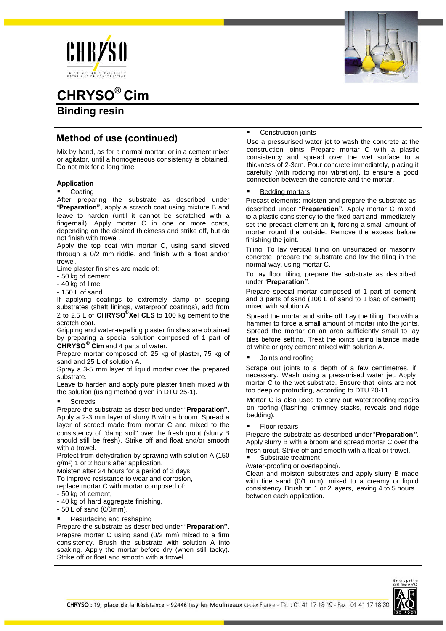





# **CHRYSO® Cim Binding resin**

# **Method of use (continued)**

Mix by hand, as for a normal mortar, or in a cement mixer or agitator, until a homogeneous consistency is obtained. Do not mix for a long time.

### **Application**

### Coating

After preparing the substrate as described under "**Preparation"**, apply a scratch coat using mixture B and leave to harden (until it cannot be scratched with a fingernail). Apply mortar C in one or more coats, depending on the desired thickness and strike off, but do not finish with trowel.

Apply the top coat with mortar C, using sand sieved through a 0/2 mm riddle, and finish with a float and/or trowel.

Lime plaster finishes are made of:

- 50 kg of cement,

- 40 kg of lime,

- 150 L of sand.

If applying coatings to extremely damp or seeping substrates (shaft linings, waterproof coatings), add from 2 to 2.5 L of **CHRYSO® Xel CLS** to 100 kg cement to the scratch coat.

Gripping and water-repelling plaster finishes are obtained by preparing a special solution composed of 1 part of **CHRYSO® Cim** and 4 parts of water.

Prepare mortar composed of: 25 kg of plaster, 75 kg of sand and 25 L of solution A.

Spray a 3-5 mm layer of liquid mortar over the prepared substrate.

Leave to harden and apply pure plaster finish mixed with the solution (using method given in DTU 25-1).

### Screeds

Prepare the substrate as described under "**Preparation"**. Apply a 2-3 mm layer of slurry B with a broom. Spread a layer of screed made from mortar C and mixed to the consistency of "damp soil" over the fresh grout (slurry B should still be fresh). Strike off and float and/or smooth with a trowel.

Protect from dehydration by spraying with solution A (150 g/m²) 1 or 2 hours after application.

Moisten after 24 hours for a period of 3 days.

To improve resistance to wear and corrosion,

replace mortar C with mortar composed of:

- 50 kg of cement,

- 40 kg of hard aggregate finishing,

- 50 L of sand (0/3mm).

Resurfacing and reshaping

Prepare the substrate as described under "**Preparation"**. Prepare mortar C using sand (0/2 mm) mixed to a firm consistency. Brush the substrate with solution A into soaking. Apply the mortar before dry (when still tacky). Strike off or float and smooth with a trowel.

#### Construction joints

Use a pressurised water jet to wash the concrete at the construction joints. Prepare mortar C with a plastic consistency and spread over the wet surface to a thickness of 2-3cm. Pour concrete immediately, placing it carefully (with rodding nor vibration), to ensure a good connection between the concrete and the mortar.

### Bedding mortars

Precast elements: moisten and prepare the substrate as described under "**Preparation"**. Apply mortar C mixed to a plastic consistency to the fixed part and immediately set the precast element on it, forcing a small amount of mortar round the outside. Remove the excess before finishing the joint.

Tiling: To lay vertical tiling on unsurfaced or masonry concrete, prepare the substrate and lay the tiling in the normal way, using mortar C.

To lay floor tiling, prepare the substrate as described under "**Preparation"**.

Prepare special mortar composed of 1 part of cement and 3 parts of sand (100 L of sand to 1 bag of cement) mixed with solution A.

Spread the mortar and strike off. Lay the tiling. Tap with a hammer to force a small amount of mortar into the joints. Spread the mortar on an area sufficiently small to lay tiles before setting. Treat the joints using laitance made of white or grey cement mixed with solution A.

### Joints and roofing

Scrape out joints to a depth of a few centimetres, if necessary. Wash using a pressurised water jet. Apply mortar C to the wet substrate. Ensure that joints are not too deep or protruding, according to DTU 20-11.

Mortar C is also used to carry out waterproofing repairs on roofing (flashing, chimney stacks, reveals and ridge bedding).

### Floor repairs

Prepare the substrate as described under "**Preparation"**. Apply slurry B with a broom and spread mortar C over the fresh grout. Strike off and smooth with a float or trowel.

Substrate treatment

(water-proofing or overlapping). Clean and moisten substrates and apply slurry B made with fine sand (0/1 mm), mixed to a creamy or liquid consistency. Brush on 1 or 2 layers, leaving 4 to 5 hours between each application.